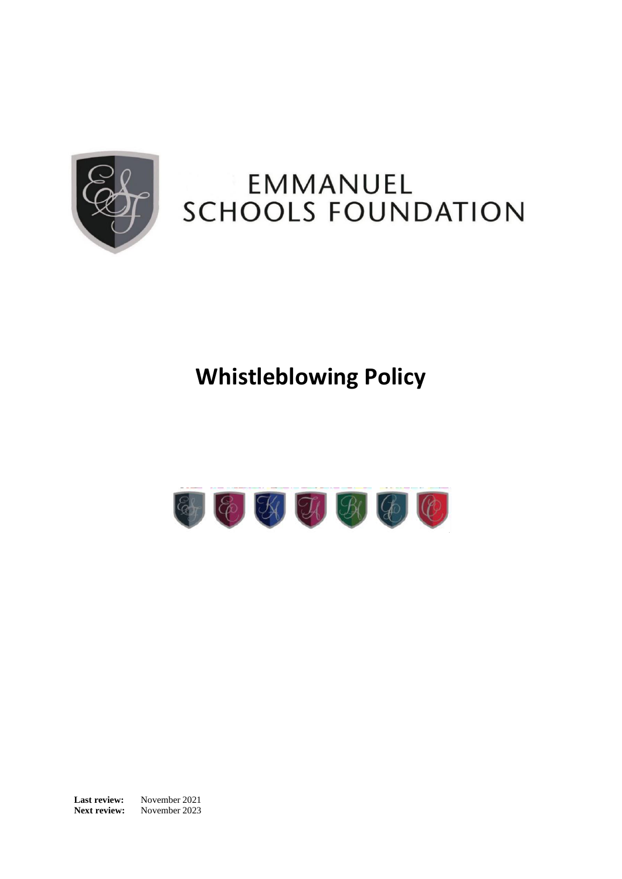

## EMMANUEL **SCHOOLS FOUNDATION**

## **Whistleblowing Policy**



**Last review:** November 2021 **Next review:** November 2023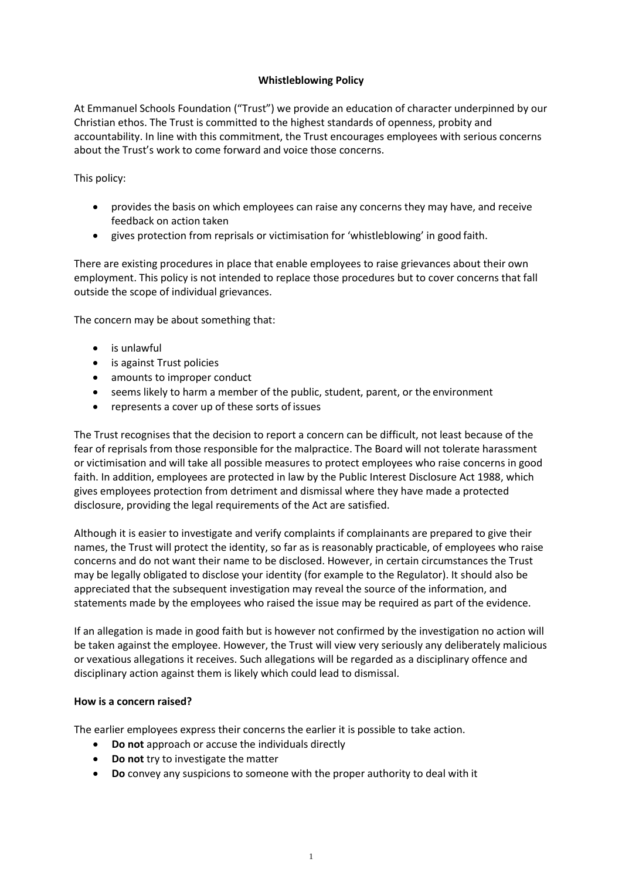## **Whistleblowing Policy**

At Emmanuel Schools Foundation ("Trust") we provide an education of character underpinned by our Christian ethos. The Trust is committed to the highest standards of openness, probity and accountability. In line with this commitment, the Trust encourages employees with serious concerns about the Trust's work to come forward and voice those concerns.

This policy:

- provides the basis on which employees can raise any concerns they may have, and receive feedback on action taken
- gives protection from reprisals or victimisation for 'whistleblowing' in good faith.

There are existing procedures in place that enable employees to raise grievances about their own employment. This policy is not intended to replace those procedures but to cover concerns that fall outside the scope of individual grievances.

The concern may be about something that:

- is unlawful
- is against Trust policies
- amounts to improper conduct
- seems likely to harm a member of the public, student, parent, or the environment
- represents a cover up of these sorts of issues

The Trust recognises that the decision to report a concern can be difficult, not least because of the fear of reprisals from those responsible for the malpractice. The Board will not tolerate harassment or victimisation and will take all possible measures to protect employees who raise concerns in good faith. In addition, employees are protected in law by the Public Interest Disclosure Act 1988, which gives employees protection from detriment and dismissal where they have made a protected disclosure, providing the legal requirements of the Act are satisfied.

Although it is easier to investigate and verify complaints if complainants are prepared to give their names, the Trust will protect the identity, so far as is reasonably practicable, of employees who raise concerns and do not want their name to be disclosed. However, in certain circumstances the Trust may be legally obligated to disclose your identity (for example to the Regulator). It should also be appreciated that the subsequent investigation may reveal the source of the information, and statements made by the employees who raised the issue may be required as part of the evidence.

If an allegation is made in good faith but is however not confirmed by the investigation no action will be taken against the employee. However, the Trust will view very seriously any deliberately malicious or vexatious allegations it receives. Such allegations will be regarded as a disciplinary offence and disciplinary action against them is likely which could lead to dismissal.

## **How is a concern raised?**

The earlier employees express their concerns the earlier it is possible to take action.

- **Do not** approach or accuse the individuals directly
- **Do not** try to investigate the matter
- **Do** convey any suspicions to someone with the proper authority to deal with it